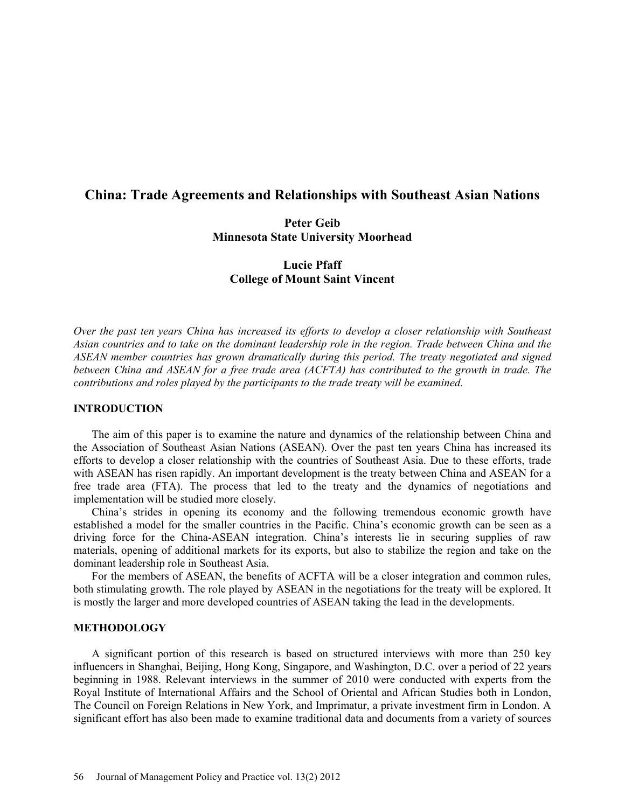# **China: Trade Agreements and Relationships with Southeast Asian Nations**

# **Peter Geib Minnesota State University Moorhead**

# **Lucie Pfaff College of Mount Saint Vincent**

*Over the past ten years China has increased its efforts to develop a closer relationship with Southeast Asian countries and to take on the dominant leadership role in the region. Trade between China and the ASEAN member countries has grown dramatically during this period. The treaty negotiated and signed between China and ASEAN for a free trade area (ACFTA) has contributed to the growth in trade. The contributions and roles played by the participants to the trade treaty will be examined.* 

### **INTRODUCTION**

 The aim of this paper is to examine the nature and dynamics of the relationship between China and the Association of Southeast Asian Nations (ASEAN). Over the past ten years China has increased its efforts to develop a closer relationship with the countries of Southeast Asia. Due to these efforts, trade with ASEAN has risen rapidly. An important development is the treaty between China and ASEAN for a free trade area (FTA). The process that led to the treaty and the dynamics of negotiations and implementation will be studied more closely.

China's strides in opening its economy and the following tremendous economic growth have established a model for the smaller countries in the Pacific. China's economic growth can be seen as a driving force for the China-ASEAN integration. China's interests lie in securing supplies of raw materials, opening of additional markets for its exports, but also to stabilize the region and take on the dominant leadership role in Southeast Asia.

For the members of ASEAN, the benefits of ACFTA will be a closer integration and common rules, both stimulating growth. The role played by ASEAN in the negotiations for the treaty will be explored. It is mostly the larger and more developed countries of ASEAN taking the lead in the developments.

### **METHODOLOGY**

A significant portion of this research is based on structured interviews with more than 250 key influencers in Shanghai, Beijing, Hong Kong, Singapore, and Washington, D.C. over a period of 22 years beginning in 1988. Relevant interviews in the summer of 2010 were conducted with experts from the Royal Institute of International Affairs and the School of Oriental and African Studies both in London, The Council on Foreign Relations in New York, and Imprimatur, a private investment firm in London. A significant effort has also been made to examine traditional data and documents from a variety of sources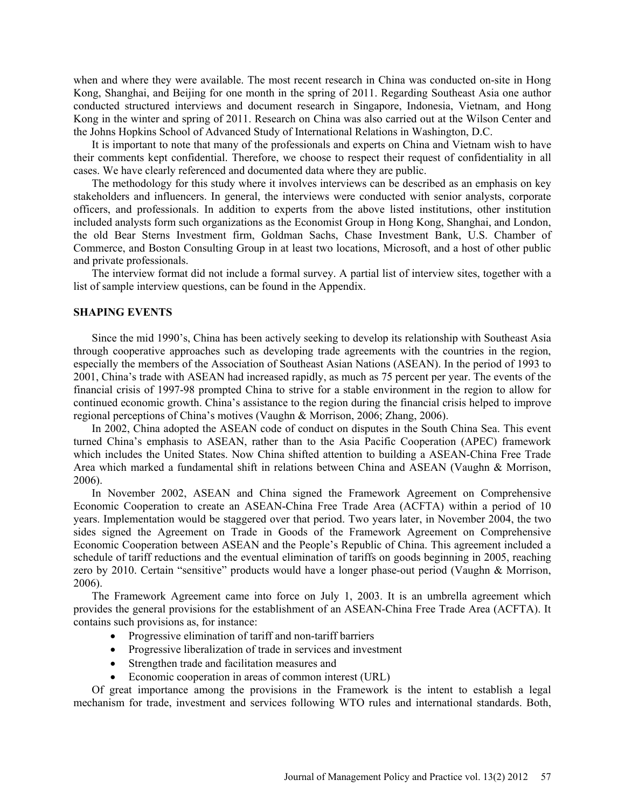when and where they were available. The most recent research in China was conducted on-site in Hong Kong, Shanghai, and Beijing for one month in the spring of 2011. Regarding Southeast Asia one author conducted structured interviews and document research in Singapore, Indonesia, Vietnam, and Hong Kong in the winter and spring of 2011. Research on China was also carried out at the Wilson Center and the Johns Hopkins School of Advanced Study of International Relations in Washington, D.C.

It is important to note that many of the professionals and experts on China and Vietnam wish to have their comments kept confidential. Therefore, we choose to respect their request of confidentiality in all cases. We have clearly referenced and documented data where they are public.

The methodology for this study where it involves interviews can be described as an emphasis on key stakeholders and influencers. In general, the interviews were conducted with senior analysts, corporate officers, and professionals. In addition to experts from the above listed institutions, other institution included analysts form such organizations as the Economist Group in Hong Kong, Shanghai, and London, the old Bear Sterns Investment firm, Goldman Sachs, Chase Investment Bank, U.S. Chamber of Commerce, and Boston Consulting Group in at least two locations, Microsoft, and a host of other public and private professionals.

The interview format did not include a formal survey. A partial list of interview sites, together with a list of sample interview questions, can be found in the Appendix.

#### **SHAPING EVENTS**

Since the mid 1990's, China has been actively seeking to develop its relationship with Southeast Asia through cooperative approaches such as developing trade agreements with the countries in the region, especially the members of the Association of Southeast Asian Nations (ASEAN). In the period of 1993 to 2001, China's trade with ASEAN had increased rapidly, as much as 75 percent per year. The events of the financial crisis of 1997-98 prompted China to strive for a stable environment in the region to allow for continued economic growth. China's assistance to the region during the financial crisis helped to improve regional perceptions of China's motives (Vaughn & Morrison, 2006; Zhang, 2006).

In 2002, China adopted the ASEAN code of conduct on disputes in the South China Sea. This event turned China's emphasis to ASEAN, rather than to the Asia Pacific Cooperation (APEC) framework which includes the United States. Now China shifted attention to building a ASEAN-China Free Trade Area which marked a fundamental shift in relations between China and ASEAN (Vaughn & Morrison, 2006).

In November 2002, ASEAN and China signed the Framework Agreement on Comprehensive Economic Cooperation to create an ASEAN-China Free Trade Area (ACFTA) within a period of 10 years. Implementation would be staggered over that period. Two years later, in November 2004, the two sides signed the Agreement on Trade in Goods of the Framework Agreement on Comprehensive Economic Cooperation between ASEAN and the People's Republic of China. This agreement included a schedule of tariff reductions and the eventual elimination of tariffs on goods beginning in 2005, reaching zero by 2010. Certain "sensitive" products would have a longer phase-out period (Vaughn & Morrison, 2006).

The Framework Agreement came into force on July 1, 2003. It is an umbrella agreement which provides the general provisions for the establishment of an ASEAN-China Free Trade Area (ACFTA). It contains such provisions as, for instance:

- Progressive elimination of tariff and non-tariff barriers
- Progressive liberalization of trade in services and investment
- Strengthen trade and facilitation measures and
- Economic cooperation in areas of common interest (URL)

Of great importance among the provisions in the Framework is the intent to establish a legal mechanism for trade, investment and services following WTO rules and international standards. Both,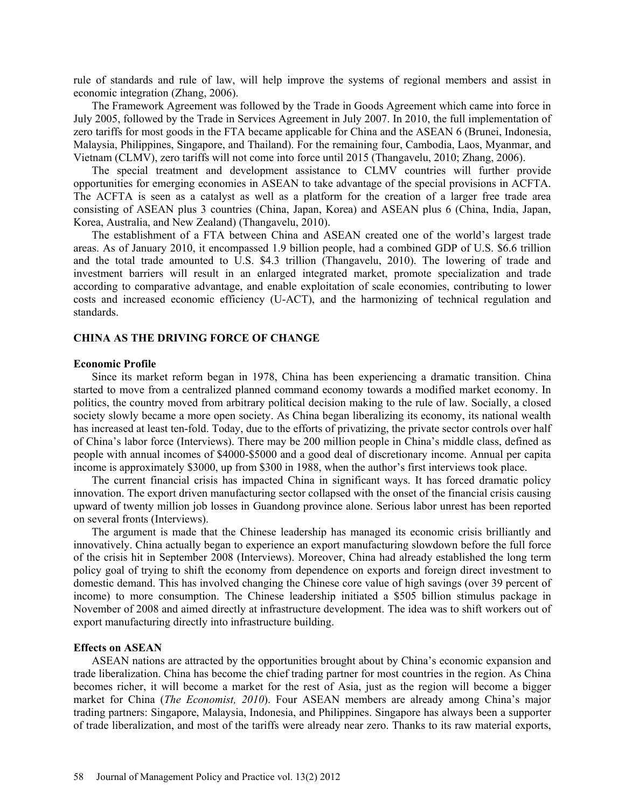rule of standards and rule of law, will help improve the systems of regional members and assist in economic integration (Zhang, 2006).

The Framework Agreement was followed by the Trade in Goods Agreement which came into force in July 2005, followed by the Trade in Services Agreement in July 2007. In 2010, the full implementation of zero tariffs for most goods in the FTA became applicable for China and the ASEAN 6 (Brunei, Indonesia, Malaysia, Philippines, Singapore, and Thailand). For the remaining four, Cambodia, Laos, Myanmar, and Vietnam (CLMV), zero tariffs will not come into force until 2015 (Thangavelu, 2010; Zhang, 2006).

The special treatment and development assistance to CLMV countries will further provide opportunities for emerging economies in ASEAN to take advantage of the special provisions in ACFTA. The ACFTA is seen as a catalyst as well as a platform for the creation of a larger free trade area consisting of ASEAN plus 3 countries (China, Japan, Korea) and ASEAN plus 6 (China, India, Japan, Korea, Australia, and New Zealand) (Thangavelu, 2010).

The establishment of a FTA between China and ASEAN created one of the world's largest trade areas. As of January 2010, it encompassed 1.9 billion people, had a combined GDP of U.S. \$6.6 trillion and the total trade amounted to U.S. \$4.3 trillion (Thangavelu, 2010). The lowering of trade and investment barriers will result in an enlarged integrated market, promote specialization and trade according to comparative advantage, and enable exploitation of scale economies, contributing to lower costs and increased economic efficiency (U-ACT), and the harmonizing of technical regulation and standards.

### **CHINA AS THE DRIVING FORCE OF CHANGE**

#### **Economic Profile**

Since its market reform began in 1978, China has been experiencing a dramatic transition. China started to move from a centralized planned command economy towards a modified market economy. In politics, the country moved from arbitrary political decision making to the rule of law. Socially, a closed society slowly became a more open society. As China began liberalizing its economy, its national wealth has increased at least ten-fold. Today, due to the efforts of privatizing, the private sector controls over half of China's labor force (Interviews). There may be 200 million people in China's middle class, defined as people with annual incomes of \$4000-\$5000 and a good deal of discretionary income. Annual per capita income is approximately \$3000, up from \$300 in 1988, when the author's first interviews took place.

The current financial crisis has impacted China in significant ways. It has forced dramatic policy innovation. The export driven manufacturing sector collapsed with the onset of the financial crisis causing upward of twenty million job losses in Guandong province alone. Serious labor unrest has been reported on several fronts (Interviews).

The argument is made that the Chinese leadership has managed its economic crisis brilliantly and innovatively. China actually began to experience an export manufacturing slowdown before the full force of the crisis hit in September 2008 (Interviews). Moreover, China had already established the long term policy goal of trying to shift the economy from dependence on exports and foreign direct investment to domestic demand. This has involved changing the Chinese core value of high savings (over 39 percent of income) to more consumption. The Chinese leadership initiated a \$505 billion stimulus package in November of 2008 and aimed directly at infrastructure development. The idea was to shift workers out of export manufacturing directly into infrastructure building.

#### **Effects on ASEAN**

ASEAN nations are attracted by the opportunities brought about by China's economic expansion and trade liberalization. China has become the chief trading partner for most countries in the region. As China becomes richer, it will become a market for the rest of Asia, just as the region will become a bigger market for China (*The Economist, 2010*). Four ASEAN members are already among China's major trading partners: Singapore, Malaysia, Indonesia, and Philippines. Singapore has always been a supporter of trade liberalization, and most of the tariffs were already near zero. Thanks to its raw material exports,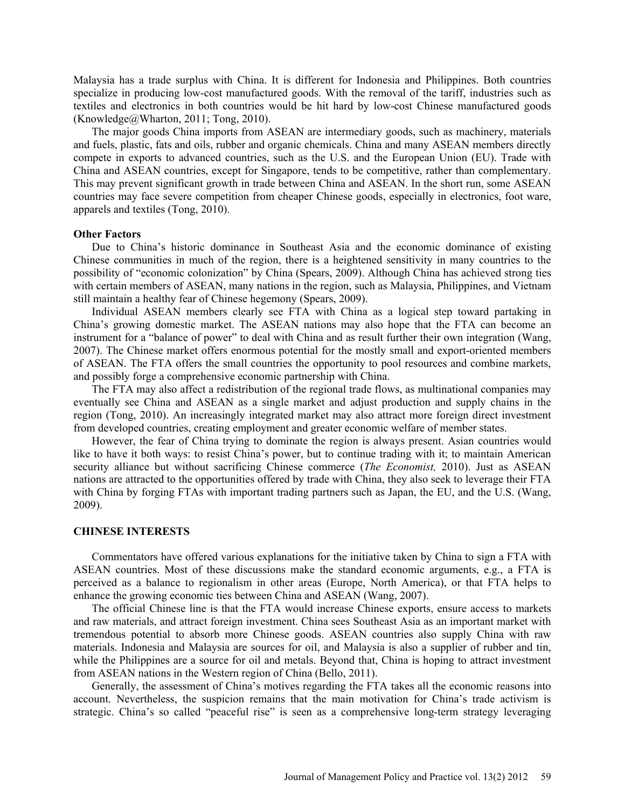Malaysia has a trade surplus with China. It is different for Indonesia and Philippines. Both countries specialize in producing low-cost manufactured goods. With the removal of the tariff, industries such as textiles and electronics in both countries would be hit hard by low-cost Chinese manufactured goods (Knowledge@Wharton, 2011; Tong, 2010).

The major goods China imports from ASEAN are intermediary goods, such as machinery, materials and fuels, plastic, fats and oils, rubber and organic chemicals. China and many ASEAN members directly compete in exports to advanced countries, such as the U.S. and the European Union (EU). Trade with China and ASEAN countries, except for Singapore, tends to be competitive, rather than complementary. This may prevent significant growth in trade between China and ASEAN. In the short run, some ASEAN countries may face severe competition from cheaper Chinese goods, especially in electronics, foot ware, apparels and textiles (Tong, 2010).

#### **Other Factors**

Due to China's historic dominance in Southeast Asia and the economic dominance of existing Chinese communities in much of the region, there is a heightened sensitivity in many countries to the possibility of "economic colonization" by China (Spears, 2009). Although China has achieved strong ties with certain members of ASEAN, many nations in the region, such as Malaysia, Philippines, and Vietnam still maintain a healthy fear of Chinese hegemony (Spears, 2009).

Individual ASEAN members clearly see FTA with China as a logical step toward partaking in China's growing domestic market. The ASEAN nations may also hope that the FTA can become an instrument for a "balance of power" to deal with China and as result further their own integration (Wang, 2007). The Chinese market offers enormous potential for the mostly small and export-oriented members of ASEAN. The FTA offers the small countries the opportunity to pool resources and combine markets, and possibly forge a comprehensive economic partnership with China.

The FTA may also affect a redistribution of the regional trade flows, as multinational companies may eventually see China and ASEAN as a single market and adjust production and supply chains in the region (Tong, 2010). An increasingly integrated market may also attract more foreign direct investment from developed countries, creating employment and greater economic welfare of member states.

However, the fear of China trying to dominate the region is always present. Asian countries would like to have it both ways: to resist China's power, but to continue trading with it; to maintain American security alliance but without sacrificing Chinese commerce (*The Economist,* 2010). Just as ASEAN nations are attracted to the opportunities offered by trade with China, they also seek to leverage their FTA with China by forging FTAs with important trading partners such as Japan, the EU, and the U.S. (Wang, 2009).

#### **CHINESE INTERESTS**

Commentators have offered various explanations for the initiative taken by China to sign a FTA with ASEAN countries. Most of these discussions make the standard economic arguments, e.g., a FTA is perceived as a balance to regionalism in other areas (Europe, North America), or that FTA helps to enhance the growing economic ties between China and ASEAN (Wang, 2007).

The official Chinese line is that the FTA would increase Chinese exports, ensure access to markets and raw materials, and attract foreign investment. China sees Southeast Asia as an important market with tremendous potential to absorb more Chinese goods. ASEAN countries also supply China with raw materials. Indonesia and Malaysia are sources for oil, and Malaysia is also a supplier of rubber and tin, while the Philippines are a source for oil and metals. Beyond that, China is hoping to attract investment from ASEAN nations in the Western region of China (Bello, 2011).

Generally, the assessment of China's motives regarding the FTA takes all the economic reasons into account. Nevertheless, the suspicion remains that the main motivation for China's trade activism is strategic. China's so called "peaceful rise" is seen as a comprehensive long-term strategy leveraging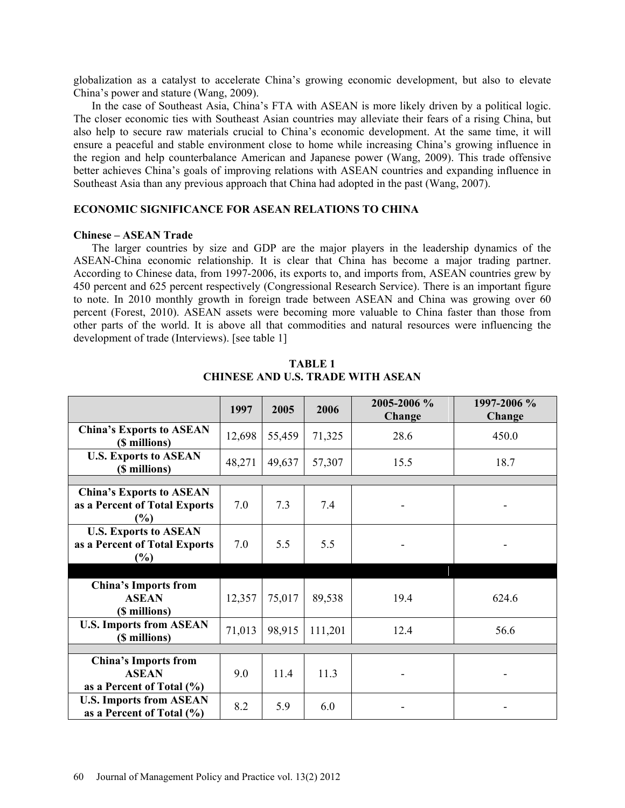globalization as a catalyst to accelerate China's growing economic development, but also to elevate China's power and stature (Wang, 2009).

In the case of Southeast Asia, China's FTA with ASEAN is more likely driven by a political logic. The closer economic ties with Southeast Asian countries may alleviate their fears of a rising China, but also help to secure raw materials crucial to China's economic development. At the same time, it will ensure a peaceful and stable environment close to home while increasing China's growing influence in the region and help counterbalance American and Japanese power (Wang, 2009). This trade offensive better achieves China's goals of improving relations with ASEAN countries and expanding influence in Southeast Asia than any previous approach that China had adopted in the past (Wang, 2007).

### **ECONOMIC SIGNIFICANCE FOR ASEAN RELATIONS TO CHINA**

#### **Chinese – ASEAN Trade**

The larger countries by size and GDP are the major players in the leadership dynamics of the ASEAN-China economic relationship. It is clear that China has become a major trading partner. According to Chinese data, from 1997-2006, its exports to, and imports from, ASEAN countries grew by 450 percent and 625 percent respectively (Congressional Research Service). There is an important figure to note. In 2010 monthly growth in foreign trade between ASEAN and China was growing over 60 percent (Forest, 2010). ASEAN assets were becoming more valuable to China faster than those from other parts of the world. It is above all that commodities and natural resources were influencing the development of trade (Interviews). [see table 1]

|                                                  | 1997   | 2005   | 2006    | 2005-2006 %<br>Change | 1997-2006 %<br><b>Change</b> |
|--------------------------------------------------|--------|--------|---------|-----------------------|------------------------------|
| <b>China's Exports to ASEAN</b><br>(\$ millions) | 12,698 | 55,459 | 71,325  | 28.6                  | 450.0                        |
| <b>U.S. Exports to ASEAN</b><br>(\$ millions)    | 48,271 | 49,637 | 57,307  | 15.5                  | 18.7                         |
|                                                  |        |        |         |                       |                              |
| <b>China's Exports to ASEAN</b>                  |        |        |         |                       |                              |
| as a Percent of Total Exports                    | 7.0    | 7.3    | 7.4     |                       |                              |
| $\frac{6}{6}$                                    |        |        |         |                       |                              |
| <b>U.S. Exports to ASEAN</b>                     |        |        |         |                       |                              |
| as a Percent of Total Exports                    | 7.0    | 5.5    | 5.5     |                       |                              |
| (%)                                              |        |        |         |                       |                              |
|                                                  |        |        |         |                       |                              |
| <b>China's Imports from</b>                      |        |        |         |                       |                              |
| <b>ASEAN</b>                                     | 12,357 | 75,017 | 89,538  | 19.4                  | 624.6                        |
| (\$ millions)                                    |        |        |         |                       |                              |
| <b>U.S. Imports from ASEAN</b>                   |        |        |         |                       |                              |
| (\$ millions)                                    | 71,013 | 98,915 | 111,201 | 12.4                  | 56.6                         |
|                                                  |        |        |         |                       |                              |
| <b>China's Imports from</b>                      |        |        |         |                       |                              |
| <b>ASEAN</b>                                     | 9.0    | 11.4   | 11.3    |                       |                              |
| as a Percent of Total $(\% )$                    |        |        |         |                       |                              |
| <b>U.S. Imports from ASEAN</b>                   | 8.2    | 5.9    | 6.0     |                       |                              |
| as a Percent of Total $(\% )$                    |        |        |         |                       |                              |

**TABLE 1 CHINESE AND U.S. TRADE WITH ASEAN**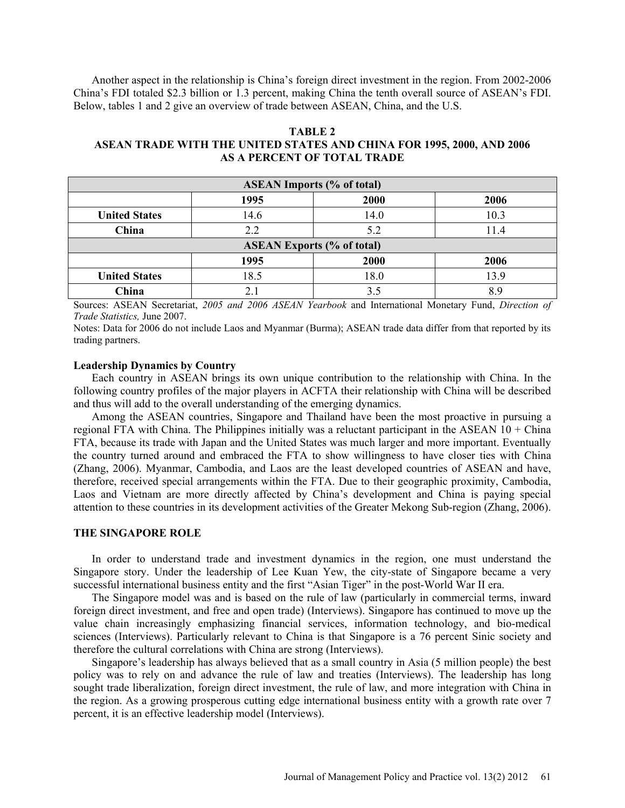Another aspect in the relationship is China's foreign direct investment in the region. From 2002-2006 China's FDI totaled \$2.3 billion or 1.3 percent, making China the tenth overall source of ASEAN's FDI. Below, tables 1 and 2 give an overview of trade between ASEAN, China, and the U.S.

#### **TABLE 2**

### **ASEAN TRADE WITH THE UNITED STATES AND CHINA FOR 1995, 2000, AND 2006 AS A PERCENT OF TOTAL TRADE**

| <b>ASEAN Imports (% of total)</b> |      |      |      |  |  |  |
|-----------------------------------|------|------|------|--|--|--|
|                                   | 1995 | 2000 | 2006 |  |  |  |
| <b>United States</b>              | 14.6 | 14.0 | 10.3 |  |  |  |
| China                             | 2.2  | 5.2  | 11.4 |  |  |  |
| <b>ASEAN Exports (% of total)</b> |      |      |      |  |  |  |
|                                   | 1995 | 2000 | 2006 |  |  |  |
| <b>United States</b>              | 18.5 | 18.0 | 13.9 |  |  |  |
| China                             |      | 3.5  | 89   |  |  |  |

Sources: ASEAN Secretariat, *2005 and 2006 ASEAN Yearbook* and International Monetary Fund, *Direction of Trade Statistics,* June 2007.

Notes: Data for 2006 do not include Laos and Myanmar (Burma); ASEAN trade data differ from that reported by its trading partners.

#### **Leadership Dynamics by Country**

Each country in ASEAN brings its own unique contribution to the relationship with China. In the following country profiles of the major players in ACFTA their relationship with China will be described and thus will add to the overall understanding of the emerging dynamics.

Among the ASEAN countries, Singapore and Thailand have been the most proactive in pursuing a regional FTA with China. The Philippines initially was a reluctant participant in the ASEAN  $10 + China$ FTA, because its trade with Japan and the United States was much larger and more important. Eventually the country turned around and embraced the FTA to show willingness to have closer ties with China (Zhang, 2006). Myanmar, Cambodia, and Laos are the least developed countries of ASEAN and have, therefore, received special arrangements within the FTA. Due to their geographic proximity, Cambodia, Laos and Vietnam are more directly affected by China's development and China is paying special attention to these countries in its development activities of the Greater Mekong Sub-region (Zhang, 2006).

### **THE SINGAPORE ROLE**

In order to understand trade and investment dynamics in the region, one must understand the Singapore story. Under the leadership of Lee Kuan Yew, the city-state of Singapore became a very successful international business entity and the first "Asian Tiger" in the post-World War II era.

The Singapore model was and is based on the rule of law (particularly in commercial terms, inward foreign direct investment, and free and open trade) (Interviews). Singapore has continued to move up the value chain increasingly emphasizing financial services, information technology, and bio-medical sciences (Interviews). Particularly relevant to China is that Singapore is a 76 percent Sinic society and therefore the cultural correlations with China are strong (Interviews).

Singapore's leadership has always believed that as a small country in Asia (5 million people) the best policy was to rely on and advance the rule of law and treaties (Interviews). The leadership has long sought trade liberalization, foreign direct investment, the rule of law, and more integration with China in the region. As a growing prosperous cutting edge international business entity with a growth rate over 7 percent, it is an effective leadership model (Interviews).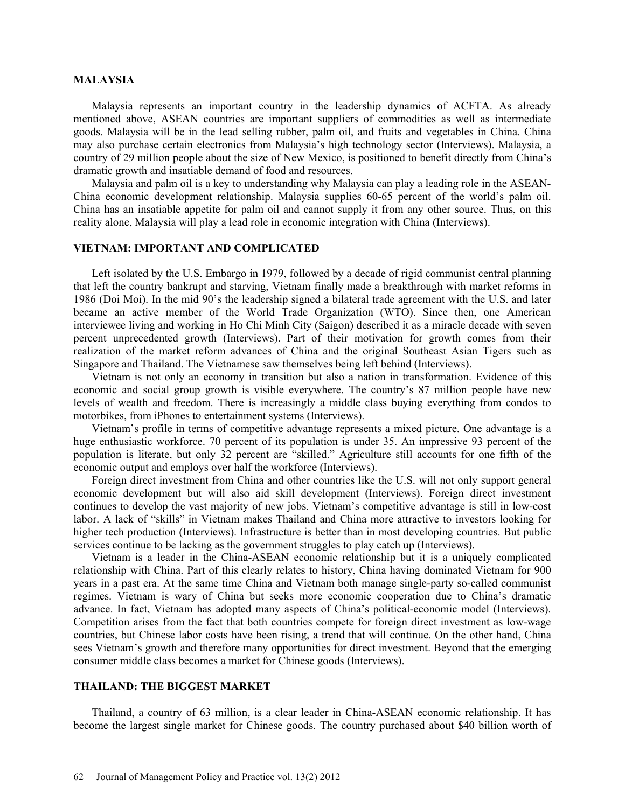#### **MALAYSIA**

Malaysia represents an important country in the leadership dynamics of ACFTA. As already mentioned above, ASEAN countries are important suppliers of commodities as well as intermediate goods. Malaysia will be in the lead selling rubber, palm oil, and fruits and vegetables in China. China may also purchase certain electronics from Malaysia's high technology sector (Interviews). Malaysia, a country of 29 million people about the size of New Mexico, is positioned to benefit directly from China's dramatic growth and insatiable demand of food and resources.

Malaysia and palm oil is a key to understanding why Malaysia can play a leading role in the ASEAN-China economic development relationship. Malaysia supplies 60-65 percent of the world's palm oil. China has an insatiable appetite for palm oil and cannot supply it from any other source. Thus, on this reality alone, Malaysia will play a lead role in economic integration with China (Interviews).

#### **VIETNAM: IMPORTANT AND COMPLICATED**

Left isolated by the U.S. Embargo in 1979, followed by a decade of rigid communist central planning that left the country bankrupt and starving, Vietnam finally made a breakthrough with market reforms in 1986 (Doi Moi). In the mid 90's the leadership signed a bilateral trade agreement with the U.S. and later became an active member of the World Trade Organization (WTO). Since then, one American interviewee living and working in Ho Chi Minh City (Saigon) described it as a miracle decade with seven percent unprecedented growth (Interviews). Part of their motivation for growth comes from their realization of the market reform advances of China and the original Southeast Asian Tigers such as Singapore and Thailand. The Vietnamese saw themselves being left behind (Interviews).

Vietnam is not only an economy in transition but also a nation in transformation. Evidence of this economic and social group growth is visible everywhere. The country's 87 million people have new levels of wealth and freedom. There is increasingly a middle class buying everything from condos to motorbikes, from iPhones to entertainment systems (Interviews).

Vietnam's profile in terms of competitive advantage represents a mixed picture. One advantage is a huge enthusiastic workforce. 70 percent of its population is under 35. An impressive 93 percent of the population is literate, but only 32 percent are "skilled." Agriculture still accounts for one fifth of the economic output and employs over half the workforce (Interviews).

Foreign direct investment from China and other countries like the U.S. will not only support general economic development but will also aid skill development (Interviews). Foreign direct investment continues to develop the vast majority of new jobs. Vietnam's competitive advantage is still in low-cost labor. A lack of "skills" in Vietnam makes Thailand and China more attractive to investors looking for higher tech production (Interviews). Infrastructure is better than in most developing countries. But public services continue to be lacking as the government struggles to play catch up (Interviews).

Vietnam is a leader in the China-ASEAN economic relationship but it is a uniquely complicated relationship with China. Part of this clearly relates to history, China having dominated Vietnam for 900 years in a past era. At the same time China and Vietnam both manage single-party so-called communist regimes. Vietnam is wary of China but seeks more economic cooperation due to China's dramatic advance. In fact, Vietnam has adopted many aspects of China's political-economic model (Interviews). Competition arises from the fact that both countries compete for foreign direct investment as low-wage countries, but Chinese labor costs have been rising, a trend that will continue. On the other hand, China sees Vietnam's growth and therefore many opportunities for direct investment. Beyond that the emerging consumer middle class becomes a market for Chinese goods (Interviews).

## **THAILAND: THE BIGGEST MARKET**

Thailand, a country of 63 million, is a clear leader in China-ASEAN economic relationship. It has become the largest single market for Chinese goods. The country purchased about \$40 billion worth of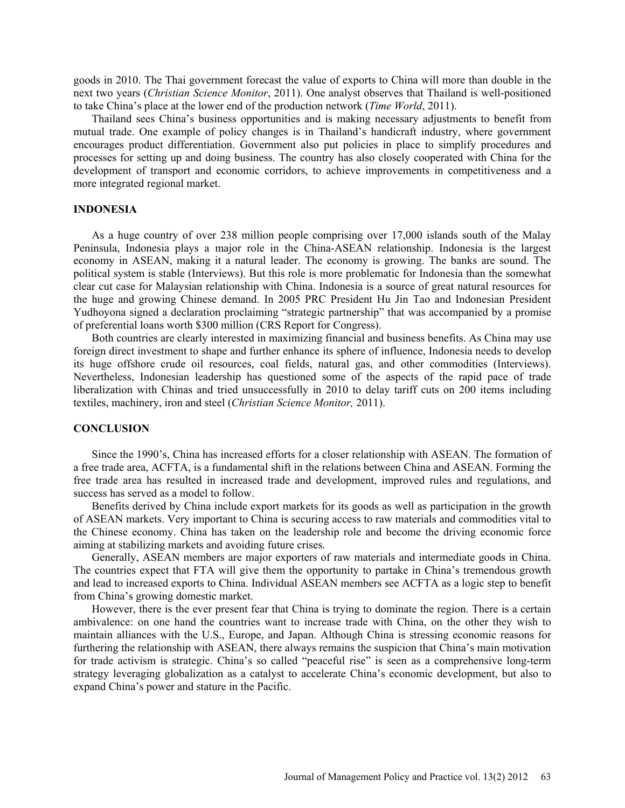goods in 2010. The Thai government forecast the value of exports to China will more than double in the next two years (*Christian Science Monitor*, 2011). One analyst observes that Thailand is well-positioned to take China's place at the lower end of the production network (*Time World*, 2011).

Thailand sees China's business opportunities and is making necessary adjustments to benefit from mutual trade. One example of policy changes is in Thailand's handicraft industry, where government encourages product differentiation. Government also put policies in place to simplify procedures and processes for setting up and doing business. The country has also closely cooperated with China for the development of transport and economic corridors, to achieve improvements in competitiveness and a more integrated regional market.

### **INDONESIA**

As a huge country of over 238 million people comprising over 17,000 islands south of the Malay Peninsula, Indonesia plays a major role in the China-ASEAN relationship. Indonesia is the largest economy in ASEAN, making it a natural leader. The economy is growing. The banks are sound. The political system is stable (Interviews). But this role is more problematic for Indonesia than the somewhat clear cut case for Malaysian relationship with China. Indonesia is a source of great natural resources for the huge and growing Chinese demand. In 2005 PRC President Hu Jin Tao and Indonesian President Yudhoyona signed a declaration proclaiming "strategic partnership" that was accompanied by a promise of preferential loans worth \$300 million (CRS Report for Congress).

Both countries are clearly interested in maximizing financial and business benefits. As China may use foreign direct investment to shape and further enhance its sphere of influence, Indonesia needs to develop its huge offshore crude oil resources, coal fields, natural gas, and other commodities (Interviews). Nevertheless, Indonesian leadership has questioned some of the aspects of the rapid pace of trade liberalization with Chinas and tried unsuccessfully in 2010 to delay tariff cuts on 200 items including textiles, machinery, iron and steel (*Christian Science Monitor,* 2011).

#### **CONCLUSION**

Since the 1990's, China has increased efforts for a closer relationship with ASEAN. The formation of a free trade area, ACFTA, is a fundamental shift in the relations between China and ASEAN. Forming the free trade area has resulted in increased trade and development, improved rules and regulations, and success has served as a model to follow.

Benefits derived by China include export markets for its goods as well as participation in the growth of ASEAN markets. Very important to China is securing access to raw materials and commodities vital to the Chinese economy. China has taken on the leadership role and become the driving economic force aiming at stabilizing markets and avoiding future crises.

Generally, ASEAN members are major exporters of raw materials and intermediate goods in China. The countries expect that FTA will give them the opportunity to partake in China's tremendous growth and lead to increased exports to China. Individual ASEAN members see ACFTA as a logic step to benefit from China's growing domestic market.

However, there is the ever present fear that China is trying to dominate the region. There is a certain ambivalence: on one hand the countries want to increase trade with China, on the other they wish to maintain alliances with the U.S., Europe, and Japan. Although China is stressing economic reasons for furthering the relationship with ASEAN, there always remains the suspicion that China's main motivation for trade activism is strategic. China's so called "peaceful rise" is seen as a comprehensive long-term strategy leveraging globalization as a catalyst to accelerate China's economic development, but also to expand China's power and stature in the Pacific.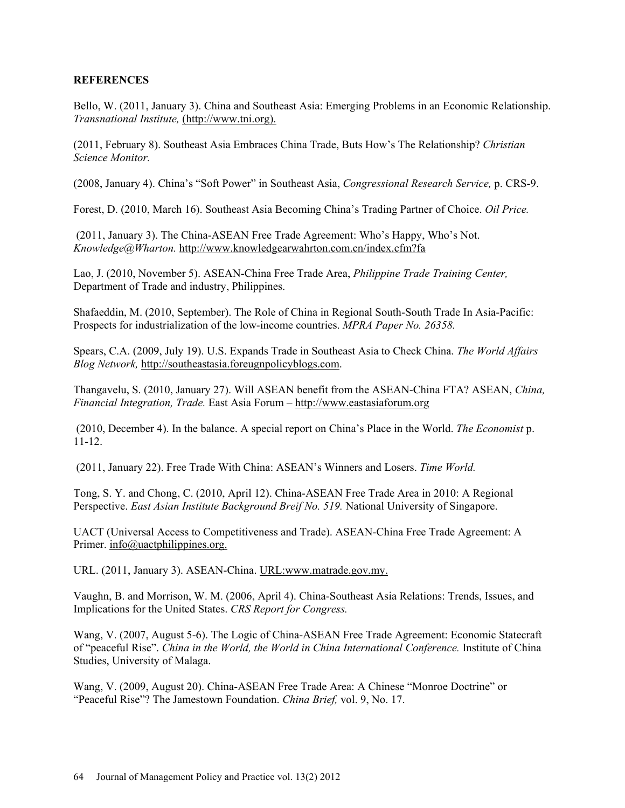## **REFERENCES**

Bello, W. (2011, January 3). China and Southeast Asia: Emerging Problems in an Economic Relationship. *Transnational Institute,* (http://www.tni.org).

(2011, February 8). Southeast Asia Embraces China Trade, Buts How's The Relationship? *Christian Science Monitor.*

(2008, January 4). China's "Soft Power" in Southeast Asia, *Congressional Research Service,* p. CRS-9.

Forest, D. (2010, March 16). Southeast Asia Becoming China's Trading Partner of Choice. *Oil Price.*

(2011, January 3). The China-ASEAN Free Trade Agreement: Who's Happy, Who's Not. *Knowledge@Wharton.* http://www.knowledgearwahrton.com.cn/index.cfm?fa

Lao, J. (2010, November 5). ASEAN-China Free Trade Area, *Philippine Trade Training Center,* Department of Trade and industry, Philippines.

Shafaeddin, M. (2010, September). The Role of China in Regional South-South Trade In Asia-Pacific: Prospects for industrialization of the low-income countries. *MPRA Paper No. 26358.*

Spears, C.A. (2009, July 19). U.S. Expands Trade in Southeast Asia to Check China. *The World Affairs Blog Network,* http://southeastasia.foreugnpolicyblogs.com.

Thangavelu, S. (2010, January 27). Will ASEAN benefit from the ASEAN-China FTA? ASEAN, *China, Financial Integration, Trade.* East Asia Forum – http://www.eastasiaforum.org

(2010, December 4). In the balance. A special report on China's Place in the World. *The Economist* p. 11-12.

(2011, January 22). Free Trade With China: ASEAN's Winners and Losers. *Time World.*

Tong, S. Y. and Chong, C. (2010, April 12). China-ASEAN Free Trade Area in 2010: A Regional Perspective. *East Asian Institute Background Breif No. 519.* National University of Singapore.

UACT (Universal Access to Competitiveness and Trade). ASEAN-China Free Trade Agreement: A Primer. info@uactphilippines.org.

URL. (2011, January 3). ASEAN-China. URL:www.matrade.gov.my.

Vaughn, B. and Morrison, W. M. (2006, April 4). China-Southeast Asia Relations: Trends, Issues, and Implications for the United States. *CRS Report for Congress.*

Wang, V. (2007, August 5-6). The Logic of China-ASEAN Free Trade Agreement: Economic Statecraft of "peaceful Rise". *China in the World, the World in China International Conference.* Institute of China Studies, University of Malaga.

Wang, V. (2009, August 20). China-ASEAN Free Trade Area: A Chinese "Monroe Doctrine" or "Peaceful Rise"? The Jamestown Foundation. *China Brief,* vol. 9, No. 17.